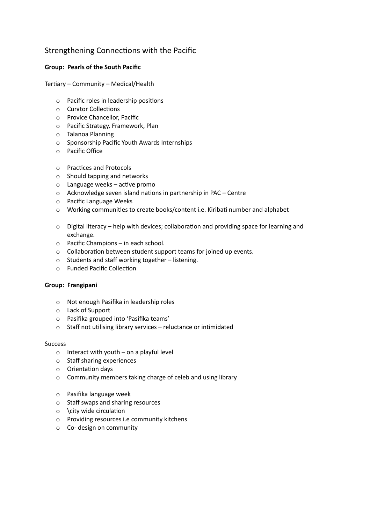# Strengthening Connections with the Pacific

## **Group: Pearls of the South Pacific**

Tertiary – Community – Medical/Health

- $\circ$  Pacific roles in leadership positions
- $\circ$  Curator Collections
- o Provice Chancellor, Pacific
- o Pacific Strategy, Framework, Plan
- o Talanoa Planning
- o Sponsorship Pacific Youth Awards Internships
- o Pacific Office
- o Practices and Protocols
- o Should tapping and networks
- $\circ$  Language weeks active promo
- $\circ$  Acknowledge seven island nations in partnership in PAC Centre
- o Pacific Language Weeks
- o Working communities to create books/content i.e. Kiribati number and alphabet
- $\circ$  Digital literacy help with devices; collaboration and providing space for learning and exchange.
- o Pacific Champions in each school.
- $\circ$  Collaboration between student support teams for joined up events.
- o Students and staff working together listening.
- o Funded Pacific Collection

### **Group: Frangipani**

- o Not enough Pasifika in leadership roles
- o Lack of Support
- o Pasifika grouped into 'Pasifika teams'
- $\circ$  Staff not utilising library services reluctance or intimidated

#### **Success**

- $\circ$  Interact with youth on a playful level
- o Staff sharing experiences
- $\circ$  Orientation days
- o Community members taking charge of celeb and using library
- o Pasifika language week
- o Staff swaps and sharing resources
- $\circ$  \city wide circulation
- o Providing resources i.e community kitchens
- o Co- design on community